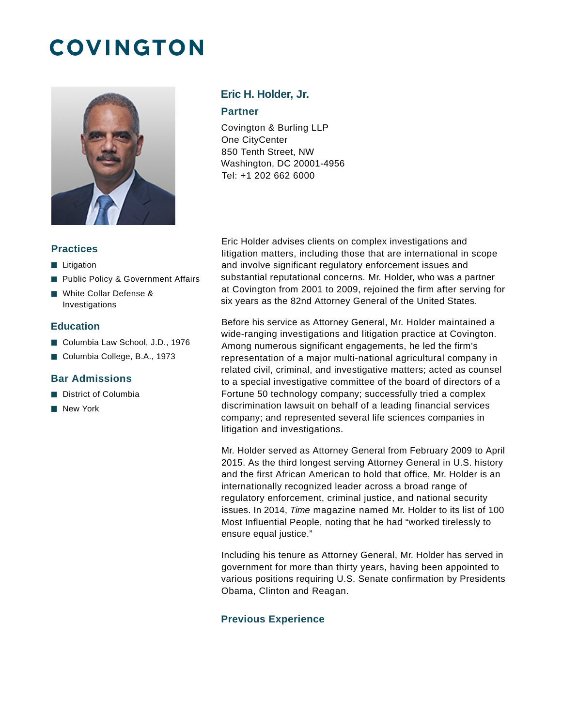# **COVINGTON**



## **Eric H. Holder, Jr.**

#### **Partner**

Covington & Burling LLP One CityCenter 850 Tenth Street, NW Washington, DC 20001-4956 Tel: +1 202 662 6000

## **Practices**

- **Litigation**
- **Public Policy & Government Affairs**
- White Collar Defense & Investigations

### **Education**

- Columbia Law School, J.D., 1976
- Columbia College, B.A., 1973

## **Bar Admissions**

- District of Columbia
- **New York**

Eric Holder advises clients on complex investigations and litigation matters, including those that are international in scope and involve significant regulatory enforcement issues and substantial reputational concerns. Mr. Holder, who was a partner at Covington from 2001 to 2009, rejoined the firm after serving for six years as the 82nd Attorney General of the United States.

Before his service as Attorney General, Mr. Holder maintained a wide-ranging investigations and litigation practice at Covington. Among numerous significant engagements, he led the firm's representation of a major multi-national agricultural company in related civil, criminal, and investigative matters; acted as counsel to a special investigative committee of the board of directors of a Fortune 50 technology company; successfully tried a complex discrimination lawsuit on behalf of a leading financial services company; and represented several life sciences companies in litigation and investigations.

Mr. Holder served as Attorney General from February 2009 to April 2015. As the third longest serving Attorney General in U.S. history and the first African American to hold that office, Mr. Holder is an internationally recognized leader across a broad range of regulatory enforcement, criminal justice, and national security issues. In 2014, Time magazine named Mr. Holder to its list of 100 Most Influential People, noting that he had "worked tirelessly to ensure equal justice."

Including his tenure as Attorney General, Mr. Holder has served in government for more than thirty years, having been appointed to various positions requiring U.S. Senate confirmation by Presidents Obama, Clinton and Reagan.

### **Previous Experience**